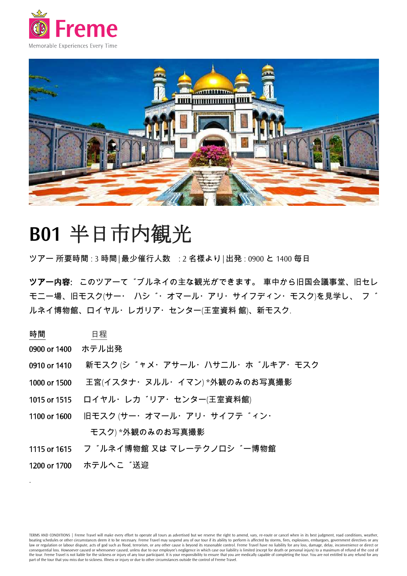



# **B01** 半日市内観光

ツアー 所要時間: 3 時間|最少催行人数 : 2 名様より|出発: 0900 と 1400 毎日

ツアー内容: このツアーて゛ブルネイの主な観光ができます。 車中から旧国会議事堂、旧セレ モニー場、旧モスク(サー・ハシ \*・オマール・アリ・サイフディン・モスク)を見学し、フ \* ルネイ博物館、ロイヤル・レガリア・センター(王室資料 館)、新モスク.

## 時間 日程

- 0900 or 1400 ホテル出発
- 0910 or 1410 新モスク (シ \*ャメ・アサール・ハサニル・ホ \*ルキア・モスク
- 1000 or 1500 王宮(イスタナ・ヌルル・イマン) \*外観のみのお写真撮影
- 1015 or 1515 ロイヤル・レカ゚リア・センター(王室資料館)
- 1100 or 1600 旧モスク (サー・オマール・アリ・サイフテ゛ィン・ モスク) \*外観のみのお写真撮影
- 1115 or 1615 フ゛ルネイ博物館 又は マレーテクノロシ゛ー博物館
- 1200 or 1700 ホテルへこ 送迎

.

TERMS AND CONDITIONS | Freme Travel will make every effort to operate all tours as advertised but we reserve the right to amend, vary, re-route or cancel when in its best judgment, road conditions, weather, boating schedules or other circumstances deem it to be necessary. Freme Travel may suspend any of our tour if its ability to perform is affected by storms, fires, explosions, embargoes, government directives or any law or regulation or labour dispute, acts of god such as flood, terrorism, or any other cause is beyond its reasonable control. Freme Travel have no liability for any loss, damage, delay, inconvenience or direct or consequential loss. Howsoever caused or whensoever caused, unless due to our employee's negligence in which case our liability is limited (except for death or personal injury) to a maximum of refund of the cost of the tour. Freme Travel is not liable for the sickness or injury of any tour participant. It is your responsibility to ensure that you are medically capable of completing the tour. You are not entitled to any refund for any part of the tour that you miss due to sickness. Illness or injury or due to other circumstances outside the control of Freme Travel.